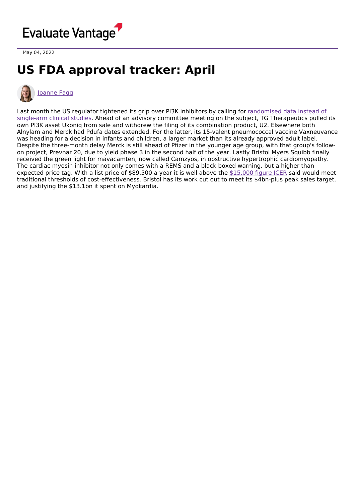

May 04, 2022

## **US FDA approval tracker: April**



## [Joanne](https://www.evaluate.com/vantage/editorial-team/joanne-fagg) Fagg

Last month the US regulator tightened its grip over PI3K inhibitors by calling for randomised data instead of single-arm clinical studies. Ahead of an advisory committee meeting on the subject, TG [Therapeutics](https://www.evaluate.com/vantage/articles/news/policy-and-regulation-snippets/what-next-developers-seeking-emulate-zydelig) pulled its own PI3K asset Ukoniq from sale and withdrew the filing of its combination product, U2. Elsewhere both Alnylam and Merck had Pdufa dates extended. For the latter, its 15-valent pneumococcal vaccine Vaxneuvance was heading for a decision in infants and children, a larger market than its already approved adult label. Despite the three-month delay Merck is still ahead of Pfizer in the younger age group, with that group's followon project, Prevnar 20, due to yield phase 3 in the second half of the year. Lastly Bristol Myers Squibb finally received the green light for mavacamten, now called Camzyos, in obstructive hypertrophic cardiomyopathy. The cardiac myosin inhibitor not only comes with a REMS and a black boxed warning, but a higher than expected price tag. With a list price of \$89,500 a year it is well above the [\\$15,000](https://icer.org/news-insights/press-releases/icer-publishes-final-evidence-report-and-policy-recommendations-on-mavacamten-for-hypertrophic-cardiomyopathy/) figure ICER said would meet traditional thresholds of cost-effectiveness. Bristol has its work cut out to meet its \$4bn-plus peak sales target, and justifying the \$13.1bn it spent on Myokardia.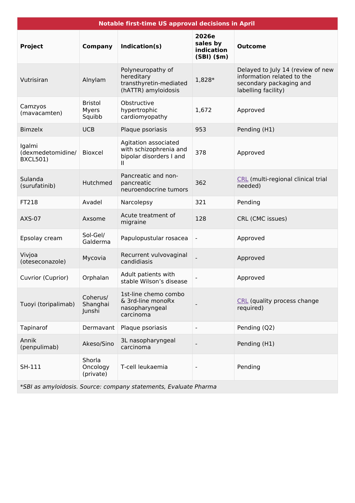| <b>Notable first-time US approval decisions in April</b>         |                                   |                                                                                  |                                               |                                                                                                                   |  |
|------------------------------------------------------------------|-----------------------------------|----------------------------------------------------------------------------------|-----------------------------------------------|-------------------------------------------------------------------------------------------------------------------|--|
| <b>Project</b>                                                   | <b>Company</b>                    | Indication(s)                                                                    | 2026e<br>sales by<br>indication<br>(SBI)(\$m) | <b>Outcome</b>                                                                                                    |  |
| Vutrisiran                                                       | Alnylam                           | Polyneuropathy of<br>hereditary<br>transthyretin-mediated<br>(hATTR) amyloidosis | 1,828*                                        | Delayed to July 14 (review of new<br>information related to the<br>secondary packaging and<br>labelling facility) |  |
| Camzyos<br>(mavacamten)                                          | <b>Bristol</b><br>Myers<br>Squibb | Obstructive<br>hypertrophic<br>cardiomyopathy                                    | 1,672                                         | Approved                                                                                                          |  |
| <b>Bimzelx</b>                                                   | <b>UCB</b>                        | Plaque psoriasis                                                                 | 953                                           | Pending (H1)                                                                                                      |  |
| Igalmi<br>(dexmedetomidine/<br><b>BXCL501)</b>                   | <b>Bioxcel</b>                    | Agitation associated<br>with schizophrenia and<br>bipolar disorders I and<br>н   | 378                                           | Approved                                                                                                          |  |
| Sulanda<br>(surufatinib)                                         | Hutchmed                          | Pancreatic and non-<br>pancreatic<br>neuroendocrine tumors                       | 362                                           | CRL (multi-regional clinical trial<br>needed)                                                                     |  |
| FT218                                                            | Avadel                            | Narcolepsy                                                                       | 321                                           | Pending                                                                                                           |  |
| <b>AXS-07</b>                                                    | Axsome                            | Acute treatment of<br>migraine                                                   | 128                                           | CRL (CMC issues)                                                                                                  |  |
| Epsolay cream                                                    | Sol-Gel/<br>Galderma              | Papulopustular rosacea                                                           | $\blacksquare$                                | Approved                                                                                                          |  |
| Vivjoa<br>(oteseconazole)                                        | Mycovia                           | Recurrent vulvovaginal<br>candidiasis                                            |                                               | Approved                                                                                                          |  |
| Cuvrior (Cuprior)                                                | Orphalan                          | Adult patients with<br>stable Wilson's disease                                   |                                               | Approved                                                                                                          |  |
| Tuoyi (toripalimab)                                              | Coherus/<br>Shanghai<br>Junshi    | 1st-line chemo combo<br>& 3rd-line monoRx<br>nasopharyngeal<br>carcinoma         |                                               | CRL (quality process change<br>required)                                                                          |  |
| Tapinarof                                                        | Dermavant                         | Plaque psoriasis                                                                 | $\blacksquare$                                | Pending (Q2)                                                                                                      |  |
| Annik<br>(penpulimab)                                            | Akeso/Sino                        | 3L nasopharyngeal<br>carcinoma                                                   |                                               | Pending (H1)                                                                                                      |  |
| SH-111                                                           | Shorla<br>Oncology<br>(private)   | T-cell leukaemia                                                                 |                                               | Pending                                                                                                           |  |
| *SBI as amyloidosis. Source: company statements, Evaluate Pharma |                                   |                                                                                  |                                               |                                                                                                                   |  |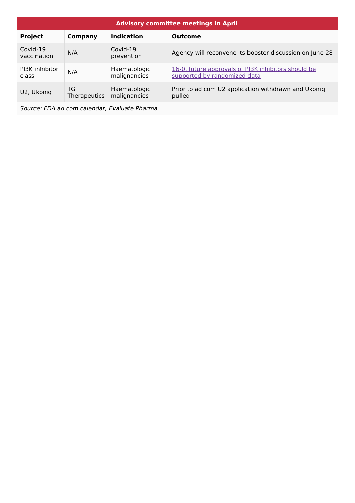| <b>Advisory committee meetings in April</b> |                           |                              |                                                                                     |  |  |
|---------------------------------------------|---------------------------|------------------------------|-------------------------------------------------------------------------------------|--|--|
| <b>Project</b>                              | Company                   | <b>Indication</b>            | <b>Outcome</b>                                                                      |  |  |
| Covid-19<br>vaccination                     | N/A                       | Covid-19<br>prevention       | Agency will reconvene its booster discussion on June 28                             |  |  |
| PI3K inhibitor<br>class                     | N/A                       | Haematologic<br>malignancies | 16-0, future approvals of PI3K inhibitors should be<br>supported by randomized data |  |  |
| U2, Ukoniq                                  | TG<br><b>Therapeutics</b> | Haematologic<br>malignancies | Prior to ad com U2 application withdrawn and Ukoniq<br>pulled                       |  |  |

Source: FDA ad com calendar, Evaluate Pharma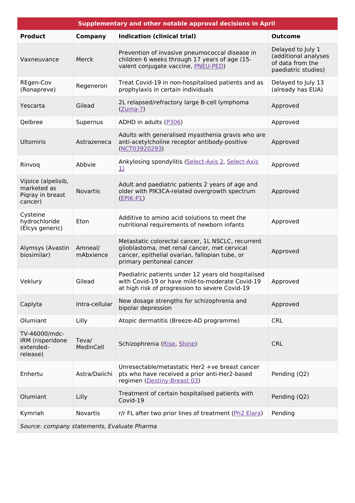| Supplementary and other notable approval decisions in April       |                      |                                                                                                                                                                                  |                                                                                      |  |  |  |
|-------------------------------------------------------------------|----------------------|----------------------------------------------------------------------------------------------------------------------------------------------------------------------------------|--------------------------------------------------------------------------------------|--|--|--|
| <b>Product</b>                                                    | <b>Company</b>       | <b>Indication (clinical trial)</b>                                                                                                                                               | <b>Outcome</b>                                                                       |  |  |  |
| Vaxneuvance                                                       | Merck                | Prevention of invasive pneumococcal disease in<br>children 6 weeks through 17 years of age (15-<br>valent conjugate vaccine, PNEU-PED)                                           | Delayed to July 1<br>(additional analyses<br>of data from the<br>paediatric studies) |  |  |  |
| REgen-Cov<br>(Ronapreve)                                          | Regeneron            | Treat Covid-19 in non-hospitalised patients and as<br>prophylaxis in certain individuals                                                                                         | Delayed to July 13<br>(already has EUA)                                              |  |  |  |
| Yescarta                                                          | Gilead               | 2L relapsed/refractory large B-cell lymphoma<br>$(Zuma-7)$                                                                                                                       | Approved                                                                             |  |  |  |
| Qelbree                                                           | Supernus             | ADHD in adults (P306)                                                                                                                                                            | Approved                                                                             |  |  |  |
| <b>Ultomiris</b>                                                  | Astrazeneca          | Adults with generalised myasthenia gravis who are<br>anti-acetylcholine receptor antibody-positive<br>(NCT03920293)                                                              | Approved                                                                             |  |  |  |
| Rinvoq                                                            | Abbvie               | Ankylosing spondylitis (Select-Axis 2, Select-Axis<br>$\underline{1}$                                                                                                            | Approved                                                                             |  |  |  |
| Vijoice (alpelisib,<br>marketed as<br>Piqray in breast<br>cancer) | <b>Novartis</b>      | Adult and paediatric patients 2 years of age and<br>older with PIK3CA-related overgrowth spectrum<br>$(EPIK-PI)$                                                                 | Approved                                                                             |  |  |  |
| Cysteine<br>hydrochloride<br>(Elcys generic)                      | Eton                 | Additive to amino acid solutions to meet the<br>nutritional requirements of newborn infants                                                                                      | Approved                                                                             |  |  |  |
| Alymsys (Avastin<br>biosimilar)                                   | Amneal/<br>mAbxience | Metastatic colorectal cancer, 1L NSCLC, recurrent<br>glioblastoma, met renal cancer, met cervical<br>cancer, epithelial ovarian, fallopian tube, or<br>primary peritoneal cancer | Approved                                                                             |  |  |  |
| Veklury                                                           | Gilead               | Paediatric patients under 12 years old hospitalised<br>with Covid-19 or have mild-to-moderate Covid-19<br>at high risk of progression to severe Covid-19                         | Approved                                                                             |  |  |  |
| Caplyta                                                           | Intra-cellular       | New dosage strengths for schizophrenia and<br>bipolar depression                                                                                                                 | Approved                                                                             |  |  |  |
| Olumiant                                                          | Lilly                | Atopic dermatitis (Breeze-AD programme)                                                                                                                                          | <b>CRL</b>                                                                           |  |  |  |
| TV-46000/mdc-<br>IRM (risperidone<br>extended-<br>release)        | Teva/<br>MedinCell   | Schizophrenia (Rise, Shine)                                                                                                                                                      | <b>CRL</b>                                                                           |  |  |  |
| Enhertu                                                           | Astra/Daiichi        | Unresectable/metastatic Her2 +ve breast cancer<br>pts who have received a prior anti-Her2-based<br>regimen (Destiny-Breast 03)                                                   | Pending (Q2)                                                                         |  |  |  |
| Olumiant                                                          | Lilly                | Treatment of certain hospitalised patients with<br>Covid-19                                                                                                                      | Pending (Q2)                                                                         |  |  |  |
| Kymriah                                                           | Novartis             | r/r FL after two prior lines of treatment (Ph2 Elara)                                                                                                                            | Pending                                                                              |  |  |  |
| Source: company statements, Evaluate Pharma                       |                      |                                                                                                                                                                                  |                                                                                      |  |  |  |